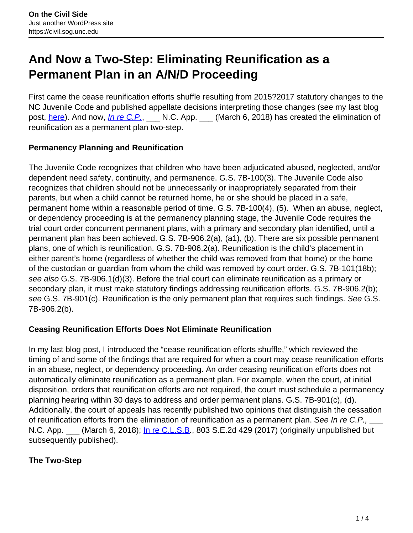# **And Now a Two-Step: Eliminating Reunification as a Permanent Plan in an A/N/D Proceeding**

First came the cease reunification efforts shuffle resulting from 2015?2017 statutory changes to the NC Juvenile Code and published appellate decisions interpreting those changes (see my last blog post, [here\)](https://civil.sog.unc.edu/the-cease-reunification-efforts-shuffle-in-a-n-d-actions-its-all-about-the-timing/). And now, *In re C.P.*, \_\_\_ N.C. App. \_\_\_ (March 6, 2018) has created the elimination of reunification as a permanent plan two-step.

## **Permanency Planning and Reunification**

The Juvenile Code recognizes that children who have been adjudicated abused, neglected, and/or dependent need safety, continuity, and permanence. G.S. 7B-100(3). The Juvenile Code also recognizes that children should not be unnecessarily or inappropriately separated from their parents, but when a child cannot be returned home, he or she should be placed in a safe, permanent home within a reasonable period of time. G.S. 7B-100(4), (5). When an abuse, neglect, or dependency proceeding is at the permanency planning stage, the Juvenile Code requires the trial court order concurrent permanent plans, with a primary and secondary plan identified, until a permanent plan has been achieved. G.S. 7B-906.2(a), (a1), (b). There are six possible permanent plans, one of which is reunification. G.S. 7B-906.2(a). Reunification is the child's placement in either parent's home (regardless of whether the child was removed from that home) or the home of the custodian or guardian from whom the child was removed by court order. G.S. 7B-101(18b); see also G.S. 7B-906.1(d)(3). Before the trial court can eliminate reunification as a primary or secondary plan, it must make statutory findings addressing reunification efforts. G.S. 7B-906.2(b); see G.S. 7B-901(c). Reunification is the only permanent plan that requires such findings. See G.S. 7B-906.2(b).

## **Ceasing Reunification Efforts Does Not Eliminate Reunification**

In my last blog post, I introduced the "cease reunification efforts shuffle," which reviewed the timing of and some of the findings that are required for when a court may cease reunification efforts in an abuse, neglect, or dependency proceeding. An order ceasing reunification efforts does not automatically eliminate reunification as a permanent plan. For example, when the court, at initial disposition, orders that reunification efforts are not required, the court must schedule a permanency planning hearing within 30 days to address and order permanent plans. G.S. 7B-901(c), (d). Additionally, the court of appeals has recently published two opinions that distinguish the cessation of reunification efforts from the elimination of reunification as a permanent plan. See In re C.P., N.C. App. \_\_\_ (March 6, 2018); In re C.L.S.B., 803 S.E.2d 429 (2017) (originally unpublished but subsequently published).

## **The Two-Step**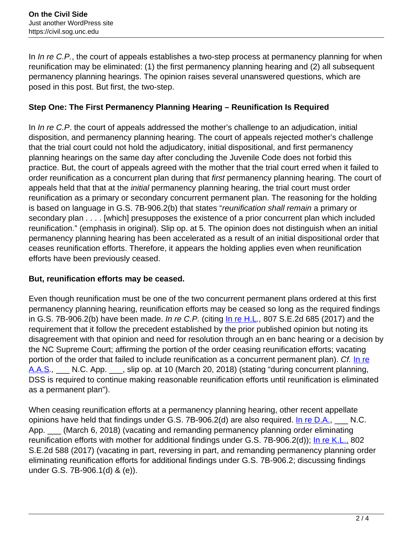In In re C.P., the court of appeals establishes a two-step process at permanency planning for when reunification may be eliminated: (1) the first permanency planning hearing and (2) all subsequent permanency planning hearings. The opinion raises several unanswered questions, which are posed in this post. But first, the two-step.

## **Step One: The First Permanency Planning Hearing – Reunification Is Required**

In In re C.P. the court of appeals addressed the mother's challenge to an adjudication, initial disposition, and permanency planning hearing. The court of appeals rejected mother's challenge that the trial court could not hold the adjudicatory, initial dispositional, and first permanency planning hearings on the same day after concluding the Juvenile Code does not forbid this practice. But, the court of appeals agreed with the mother that the trial court erred when it failed to order reunification as a concurrent plan during that first permanency planning hearing. The court of appeals held that that at the *initial* permanency planning hearing, the trial court must order reunification as a primary or secondary concurrent permanent plan. The reasoning for the holding is based on language in G.S. 7B-906.2(b) that states "reunification shall remain a primary or secondary plan . . . . [which] presupposes the existence of a prior concurrent plan which included reunification." (emphasis in original). Slip op. at 5. The opinion does not distinguish when an initial permanency planning hearing has been accelerated as a result of an initial dispositional order that ceases reunification efforts. Therefore, it appears the holding applies even when reunification efforts have been previously ceased.

#### **But, reunification efforts may be ceased.**

Even though reunification must be one of the two concurrent permanent plans ordered at this first permanency planning hearing, reunification efforts may be ceased so long as the required findings in G.S. 7B-906.2(b) have been made. In re C.P. (citing  $\ln$  re H.L., 807 S.E.2d 685 (2017) and the requirement that it follow the precedent established by the prior published opinion but noting its disagreement with that opinion and need for resolution through an en banc hearing or a decision by the NC Supreme Court; affirming the portion of the order ceasing reunification efforts; vacating portion of the order that failed to include reunification as a concurrent permanent plan). Cf. In re A.A.S., \_\_\_ N.C. App. \_\_\_, slip op. at 10 (March 20, 2018) (stating "during concurrent planning, DSS is required to continue making reasonable reunification efforts until reunification is eliminated as a permanent plan").

When ceasing reunification efforts at a permanency planning hearing, other recent appellate opinions have held that findings under G.S. 7B-906.2(d) are also required. In re  $D.A., \_\_\_N$  N.C. App. \_\_\_ (March 6, 2018) (vacating and remanding permanency planning order eliminating reunification efforts with mother for additional findings under G.S. 7B-906.2(d)); In re K.L., 802 S.E.2d 588 (2017) (vacating in part, reversing in part, and remanding permanency planning order eliminating reunification efforts for additional findings under G.S. 7B-906.2; discussing findings under G.S. 7B-906.1(d) & (e)).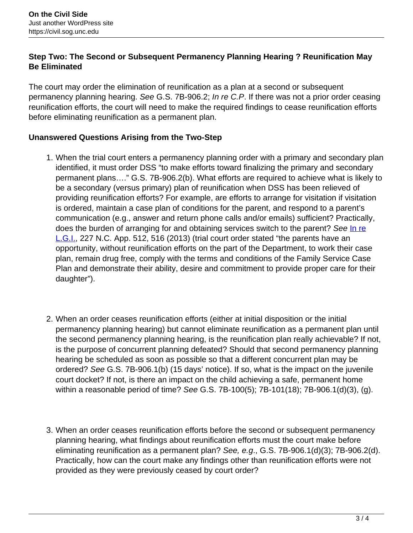#### **Step Two: The Second or Subsequent Permanency Planning Hearing ? Reunification May Be Eliminated**

The court may order the elimination of reunification as a plan at a second or subsequent permanency planning hearing. See G.S. 7B-906.2; In re C.P. If there was not a prior order ceasing reunification efforts, the court will need to make the required findings to cease reunification efforts before eliminating reunification as a permanent plan.

#### **Unanswered Questions Arising from the Two-Step**

- 1. When the trial court enters a permanency planning order with a primary and secondary plan identified, it must order DSS "to make efforts toward finalizing the primary and secondary permanent plans…." G.S. 7B-906.2(b). What efforts are required to achieve what is likely to be a secondary (versus primary) plan of reunification when DSS has been relieved of providing reunification efforts? For example, are efforts to arrange for visitation if visitation is ordered, maintain a case plan of conditions for the parent, and respond to a parent's communication (e.g., answer and return phone calls and/or emails) sufficient? Practically, does the burden of arranging for and obtaining services switch to the parent? See In re L.G.I., 227 N.C. App. 512, 516 (2013) (trial court order stated "the parents have an opportunity, without reunification efforts on the part of the Department, to work their case plan, remain drug free, comply with the terms and conditions of the Family Service Case Plan and demonstrate their ability, desire and commitment to provide proper care for their daughter").
- 2. When an order ceases reunification efforts (either at initial disposition or the initial permanency planning hearing) but cannot eliminate reunification as a permanent plan until the second permanency planning hearing, is the reunification plan really achievable? If not, is the purpose of concurrent planning defeated? Should that second permanency planning hearing be scheduled as soon as possible so that a different concurrent plan may be ordered? See G.S. 7B-906.1(b) (15 days' notice). If so, what is the impact on the juvenile court docket? If not, is there an impact on the child achieving a safe, permanent home within a reasonable period of time? See G.S. 7B-100(5); 7B-101(18); 7B-906.1(d)(3), (g).
- 3. When an order ceases reunification efforts before the second or subsequent permanency planning hearing, what findings about reunification efforts must the court make before eliminating reunification as a permanent plan? See, e.g., G.S. 7B-906.1(d)(3); 7B-906.2(d). Practically, how can the court make any findings other than reunification efforts were not provided as they were previously ceased by court order?